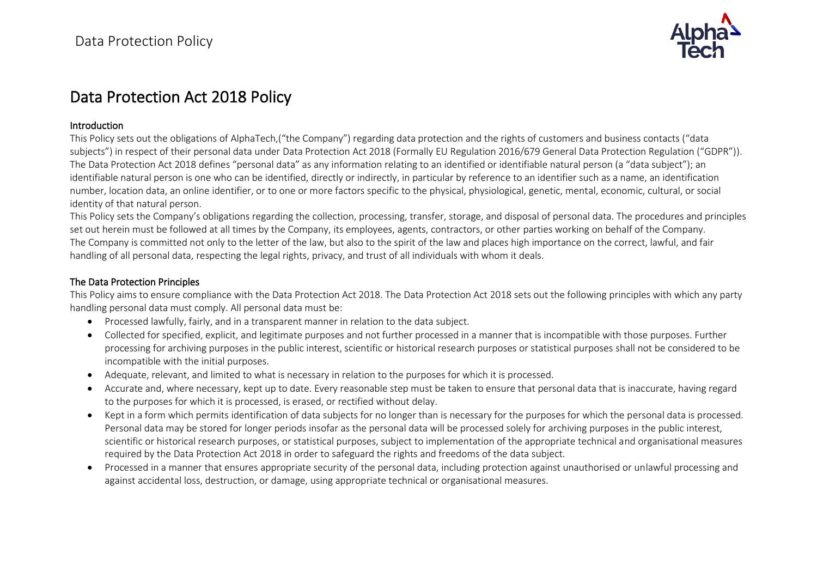

# Data Protection Act 2018 Policy

#### Introduction

This Policy sets out the obligations of AlphaTech,("the Company") regarding data protection and the rights of customers and business contacts ("data subjects") in respect of their personal data under Data Protection Act 2018 (Formally EU Regulation 2016/679 General Data Protection Regulation ("GDPR")). The Data Protection Act 2018 defines "personal data" as any information relating to an identified or identifiable natural person (a "data subject"); an identifiable natural person is one who can be identified, directly or indirectly, in particular by reference to an identifier such as a name, an identification number, location data, an online identifier, or to one or more factors specific to the physical, physiological, genetic, mental, economic, cultural, or social identity of that natural person.

This Policy sets the Company's obligations regarding the collection, processing, transfer, storage, and disposal of personal data. The procedures and principles set out herein must be followed at all times by the Company, its employees, agents, contractors, or other parties working on behalf of the Company. The Company is committed not only to the letter of the law, but also to the spirit of the law and places high importance on the correct, lawful, and fair handling of all personal data, respecting the legal rights, privacy, and trust of all individuals with whom it deals.

#### The Data Protection Principles

This Policy aims to ensure compliance with the Data Protection Act 2018. The Data Protection Act 2018 sets out the following principles with which any party handling personal data must comply. All personal data must be:

- Processed lawfully, fairly, and in a transparent manner in relation to the data subject.
- Collected for specified, explicit, and legitimate purposes and not further processed in a manner that is incompatible with those purposes. Further processing for archiving purposes in the public interest, scientific or historical research purposes or statistical purposes shall not be considered to be incompatible with the initial purposes.
- Adequate, relevant, and limited to what is necessary in relation to the purposes for which it is processed.
- Accurate and, where necessary, kept up to date. Every reasonable step must be taken to ensure that personal data that is inaccurate, having regard to the purposes for which it is processed, is erased, or rectified without delay.
- Kept in a form which permits identification of data subjects for no longer than is necessary for the purposes for which the personal data is processed. Personal data may be stored for longer periods insofar as the personal data will be processed solely for archiving purposes in the public interest, scientific or historical research purposes, or statistical purposes, subject to implementation of the appropriate technical and organisational measures required by the Data Protection Act 2018 in order to safeguard the rights and freedoms of the data subject.
- Processed in a manner that ensures appropriate security of the personal data, including protection against unauthorised or unlawful processing and against accidental loss, destruction, or damage, using appropriate technical or organisational measures.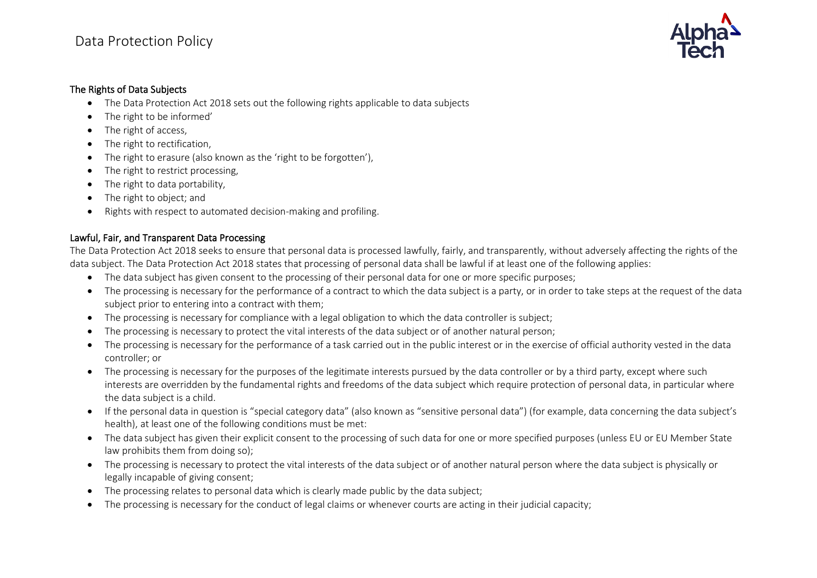

#### The Rights of Data Subjects

- The Data Protection Act 2018 sets out the following rights applicable to data subjects
- The right to be informed'
- The right of access,
- The right to rectification,
- The right to erasure (also known as the 'right to be forgotten'),
- The right to restrict processing.
- The right to data portability,
- The right to object; and
- Rights with respect to automated decision-making and profiling.

## Lawful, Fair, and Transparent Data Processing

The Data Protection Act 2018 seeks to ensure that personal data is processed lawfully, fairly, and transparently, without adversely affecting the rights of the data subject. The Data Protection Act 2018 states that processing of personal data shall be lawful if at least one of the following applies:

- The data subject has given consent to the processing of their personal data for one or more specific purposes;
- The processing is necessary for the performance of a contract to which the data subject is a party, or in order to take steps at the request of the data subject prior to entering into a contract with them;
- The processing is necessary for compliance with a legal obligation to which the data controller is subject;
- The processing is necessary to protect the vital interests of the data subject or of another natural person;
- The processing is necessary for the performance of a task carried out in the public interest or in the exercise of official authority vested in the data controller; or
- The processing is necessary for the purposes of the legitimate interests pursued by the data controller or by a third party, except where such interests are overridden by the fundamental rights and freedoms of the data subject which require protection of personal data, in particular where the data subject is a child.
- If the personal data in question is "special category data" (also known as "sensitive personal data") (for example, data concerning the data subject's health), at least one of the following conditions must be met:
- The data subject has given their explicit consent to the processing of such data for one or more specified purposes (unless EU or EU Member State law prohibits them from doing so);
- The processing is necessary to protect the vital interests of the data subject or of another natural person where the data subject is physically or legally incapable of giving consent;
- The processing relates to personal data which is clearly made public by the data subject;
- The processing is necessary for the conduct of legal claims or whenever courts are acting in their judicial capacity;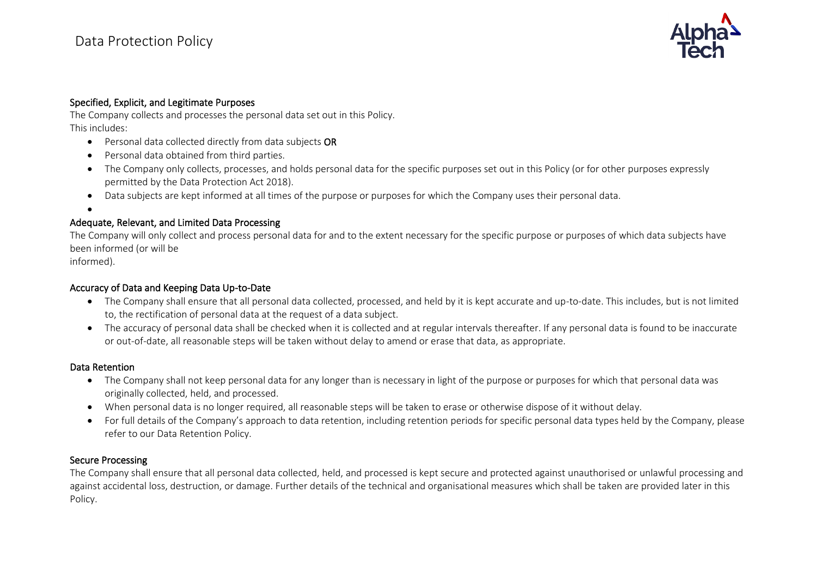

#### Specified, Explicit, and Legitimate Purposes

The Company collects and processes the personal data set out in this Policy. This includes:

- Personal data collected directly from data subjects OR
- Personal data obtained from third parties.
- The Company only collects, processes, and holds personal data for the specific purposes set out in this Policy (or for other purposes expressly permitted by the Data Protection Act 2018).
- Data subjects are kept informed at all times of the purpose or purposes for which the Company uses their personal data.

•

## Adequate, Relevant, and Limited Data Processing

The Company will only collect and process personal data for and to the extent necessary for the specific purpose or purposes of which data subjects have been informed (or will be

informed).

### Accuracy of Data and Keeping Data Up-to-Date

- The Company shall ensure that all personal data collected, processed, and held by it is kept accurate and up-to-date. This includes, but is not limited to, the rectification of personal data at the request of a data subject.
- The accuracy of personal data shall be checked when it is collected and at regular intervals thereafter. If any personal data is found to be inaccurate or out-of-date, all reasonable steps will be taken without delay to amend or erase that data, as appropriate.

#### Data Retention

- The Company shall not keep personal data for any longer than is necessary in light of the purpose or purposes for which that personal data was originally collected, held, and processed.
- When personal data is no longer required, all reasonable steps will be taken to erase or otherwise dispose of it without delay.
- For full details of the Company's approach to data retention, including retention periods for specific personal data types held by the Company, please refer to our Data Retention Policy.

#### Secure Processing

The Company shall ensure that all personal data collected, held, and processed is kept secure and protected against unauthorised or unlawful processing and against accidental loss, destruction, or damage. Further details of the technical and organisational measures which shall be taken are provided later in this Policy.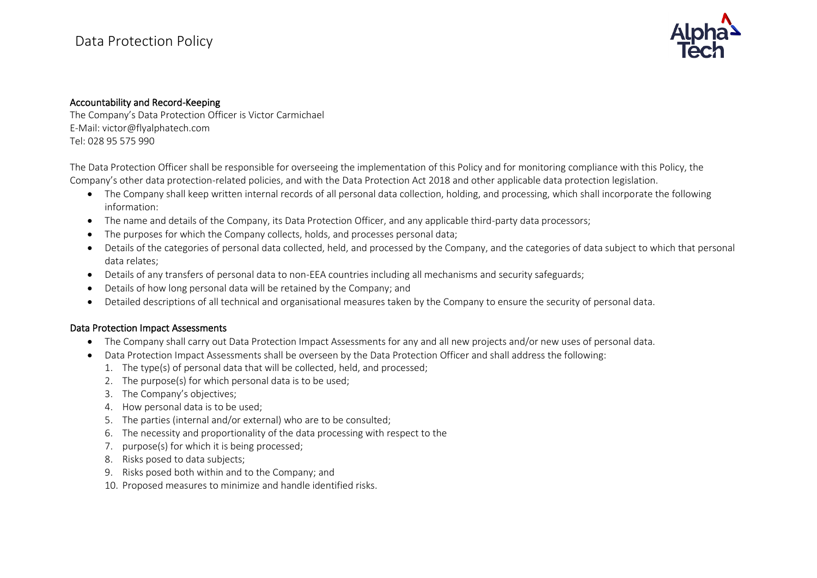

#### Accountability and Record-Keeping

The Company's Data Protection Officer is Victor Carmichael E-Mail: victor@flyalphatech.com Tel: 028 95 575 990

The Data Protection Officer shall be responsible for overseeing the implementation of this Policy and for monitoring compliance with this Policy, the Company's other data protection-related policies, and with the Data Protection Act 2018 and other applicable data protection legislation.

- The Company shall keep written internal records of all personal data collection, holding, and processing, which shall incorporate the following information:
- The name and details of the Company, its Data Protection Officer, and any applicable third-party data processors;
- The purposes for which the Company collects, holds, and processes personal data;
- Details of the categories of personal data collected, held, and processed by the Company, and the categories of data subject to which that personal data relates;
- Details of any transfers of personal data to non-EEA countries including all mechanisms and security safeguards;
- Details of how long personal data will be retained by the Company; and
- Detailed descriptions of all technical and organisational measures taken by the Company to ensure the security of personal data.

#### Data Protection Impact Assessments

- The Company shall carry out Data Protection Impact Assessments for any and all new projects and/or new uses of personal data.
- Data Protection Impact Assessments shall be overseen by the Data Protection Officer and shall address the following:
	- 1. The type(s) of personal data that will be collected, held, and processed;
	- 2. The purpose(s) for which personal data is to be used;
	- 3. The Company's objectives;
	- 4. How personal data is to be used;
	- 5. The parties (internal and/or external) who are to be consulted;
	- 6. The necessity and proportionality of the data processing with respect to the
	- 7. purpose(s) for which it is being processed;
	- 8. Risks posed to data subjects;
	- 9. Risks posed both within and to the Company; and
	- 10. Proposed measures to minimize and handle identified risks.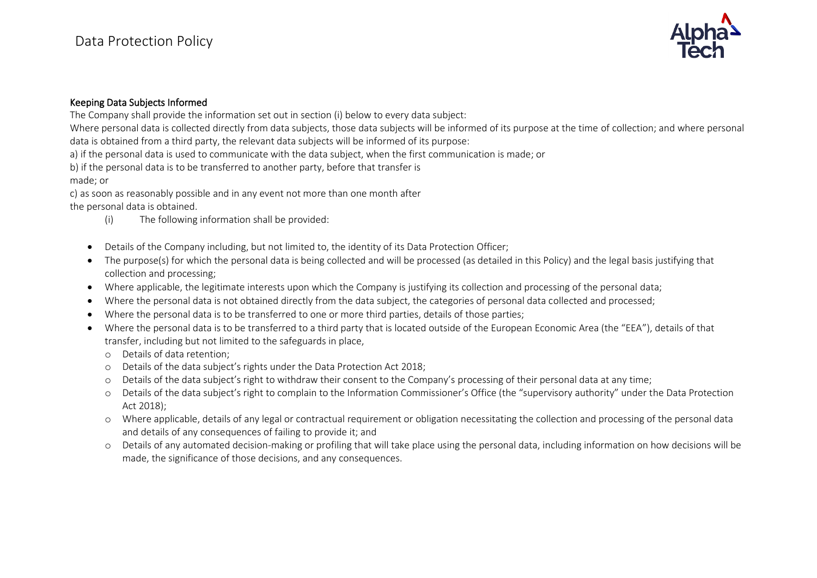

#### Keeping Data Subjects Informed

The Company shall provide the information set out in section (i) below to every data subject:

Where personal data is collected directly from data subjects, those data subjects will be informed of its purpose at the time of collection; and where personal data is obtained from a third party, the relevant data subjects will be informed of its purpose:

a) if the personal data is used to communicate with the data subject, when the first communication is made; or

b) if the personal data is to be transferred to another party, before that transfer is

made; or

c) as soon as reasonably possible and in any event not more than one month after

the personal data is obtained.

- (i) The following information shall be provided:
- Details of the Company including, but not limited to, the identity of its Data Protection Officer;
- The purpose(s) for which the personal data is being collected and will be processed (as detailed in this Policy) and the legal basis justifying that collection and processing;
- Where applicable, the legitimate interests upon which the Company is justifying its collection and processing of the personal data;
- Where the personal data is not obtained directly from the data subject, the categories of personal data collected and processed;
- Where the personal data is to be transferred to one or more third parties, details of those parties;
- Where the personal data is to be transferred to a third party that is located outside of the European Economic Area (the "EEA"), details of that transfer, including but not limited to the safeguards in place,
	- o Details of data retention;
	- o Details of the data subject's rights under the Data Protection Act 2018;
	- o Details of the data subject's right to withdraw their consent to the Company's processing of their personal data at any time;
	- o Details of the data subject's right to complain to the Information Commissioner's Office (the "supervisory authority" under the Data Protection Act 2018);
	- o Where applicable, details of any legal or contractual requirement or obligation necessitating the collection and processing of the personal data and details of any consequences of failing to provide it; and
	- o Details of any automated decision-making or profiling that will take place using the personal data, including information on how decisions will be made, the significance of those decisions, and any consequences.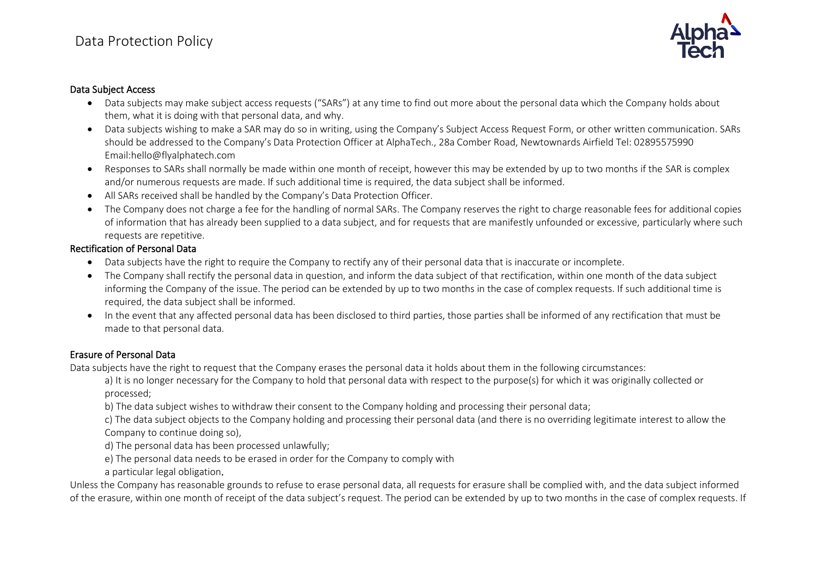

#### Data Subject Access

- Data subjects may make subject access requests ("SARs") at any time to find out more about the personal data which the Company holds about them, what it is doing with that personal data, and why.
- Data subjects wishing to make a SAR may do so in writing, using the Company's Subject Access Request Form, or other written communication. SARs should be addressed to the Company's Data Protection Officer at AlphaTech., 28a Comber Road, Newtownards Airfield Tel: 02895575990 Email:hello@flyalphatech.com
- Responses to SARs shall normally be made within one month of receipt, however this may be extended by up to two months if the SAR is complex and/or numerous requests are made. If such additional time is required, the data subject shall be informed.
- All SARs received shall be handled by the Company's Data Protection Officer.
- The Company does not charge a fee for the handling of normal SARs. The Company reserves the right to charge reasonable fees for additional copies of information that has already been supplied to a data subject, and for requests that are manifestly unfounded or excessive, particularly where such requests are repetitive.

### Rectification of Personal Data

- Data subjects have the right to require the Company to rectify any of their personal data that is inaccurate or incomplete.
- The Company shall rectify the personal data in question, and inform the data subject of that rectification, within one month of the data subject informing the Company of the issue. The period can be extended by up to two months in the case of complex requests. If such additional time is required, the data subject shall be informed.
- In the event that any affected personal data has been disclosed to third parties, those parties shall be informed of any rectification that must be made to that personal data.

## Erasure of Personal Data

Data subjects have the right to request that the Company erases the personal data it holds about them in the following circumstances:

a) It is no longer necessary for the Company to hold that personal data with respect to the purpose(s) for which it was originally collected or processed;

b) The data subject wishes to withdraw their consent to the Company holding and processing their personal data;

c) The data subject objects to the Company holding and processing their personal data (and there is no overriding legitimate interest to allow the Company to continue doing so),

d) The personal data has been processed unlawfully;

e) The personal data needs to be erased in order for the Company to comply with

a particular legal obligation.

Unless the Company has reasonable grounds to refuse to erase personal data, all requests for erasure shall be complied with, and the data subject informed of the erasure, within one month of receipt of the data subject's request. The period can be extended by up to two months in the case of complex requests. If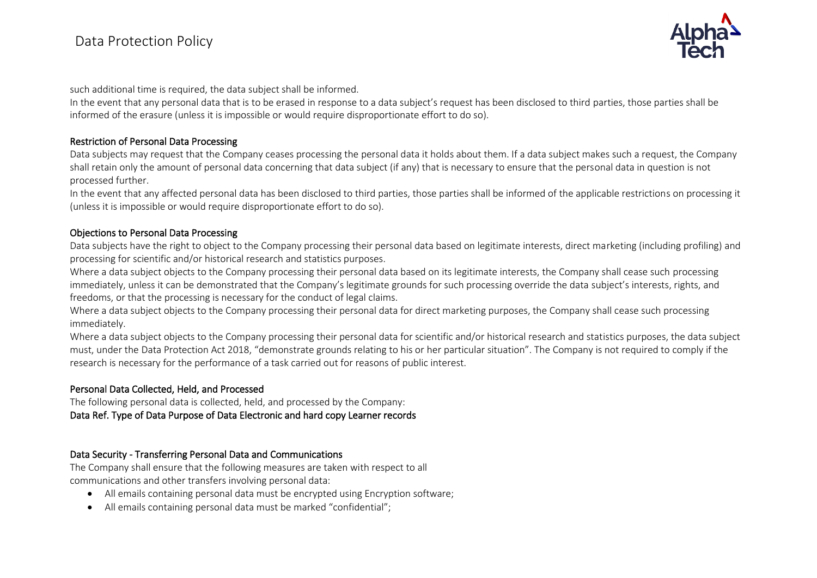

such additional time is required, the data subject shall be informed.

In the event that any personal data that is to be erased in response to a data subject's request has been disclosed to third parties, those parties shall be informed of the erasure (unless it is impossible or would require disproportionate effort to do so).

### Restriction of Personal Data Processing

Data subjects may request that the Company ceases processing the personal data it holds about them. If a data subject makes such a request, the Company shall retain only the amount of personal data concerning that data subject (if any) that is necessary to ensure that the personal data in question is not processed further.

In the event that any affected personal data has been disclosed to third parties, those parties shall be informed of the applicable restrictions on processing it (unless it is impossible or would require disproportionate effort to do so).

### Objections to Personal Data Processing

Data subjects have the right to object to the Company processing their personal data based on legitimate interests, direct marketing (including profiling) and processing for scientific and/or historical research and statistics purposes.

Where a data subject objects to the Company processing their personal data based on its legitimate interests, the Company shall cease such processing immediately, unless it can be demonstrated that the Company's legitimate grounds for such processing override the data subject's interests, rights, and freedoms, or that the processing is necessary for the conduct of legal claims.

Where a data subject objects to the Company processing their personal data for direct marketing purposes, the Company shall cease such processing immediately.

Where a data subject objects to the Company processing their personal data for scientific and/or historical research and statistics purposes, the data subject must, under the Data Protection Act 2018, "demonstrate grounds relating to his or her particular situation". The Company is not required to comply if the research is necessary for the performance of a task carried out for reasons of public interest.

## Personal Data Collected, Held, and Processed

The following personal data is collected, held, and processed by the Company: Data Ref. Type of Data Purpose of Data Electronic and hard copy Learner records

## Data Security - Transferring Personal Data and Communications

The Company shall ensure that the following measures are taken with respect to all communications and other transfers involving personal data:

- All emails containing personal data must be encrypted using Encryption software;
- All emails containing personal data must be marked "confidential";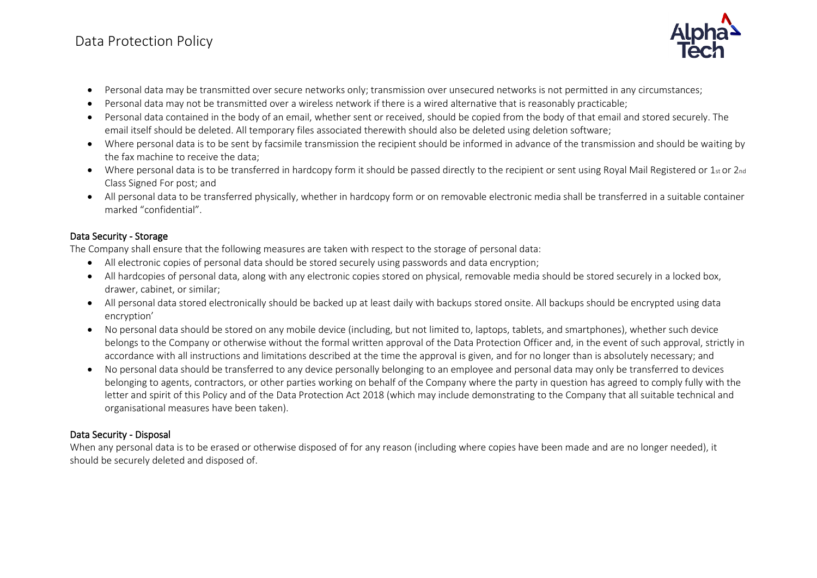

- Personal data may be transmitted over secure networks only; transmission over unsecured networks is not permitted in any circumstances;
- Personal data may not be transmitted over a wireless network if there is a wired alternative that is reasonably practicable;
- Personal data contained in the body of an email, whether sent or received, should be copied from the body of that email and stored securely. The email itself should be deleted. All temporary files associated therewith should also be deleted using deletion software;
- Where personal data is to be sent by facsimile transmission the recipient should be informed in advance of the transmission and should be waiting by the fax machine to receive the data;
- Where personal data is to be transferred in hardcopy form it should be passed directly to the recipient or sent using Royal Mail Registered or  $1_{st}$  or  $2_{nd}$ Class Signed For post; and
- All personal data to be transferred physically, whether in hardcopy form or on removable electronic media shall be transferred in a suitable container marked "confidential".

## Data Security - Storage

The Company shall ensure that the following measures are taken with respect to the storage of personal data:

- All electronic copies of personal data should be stored securely using passwords and data encryption;
- All hardcopies of personal data, along with any electronic copies stored on physical, removable media should be stored securely in a locked box, drawer, cabinet, or similar;
- All personal data stored electronically should be backed up at least daily with backups stored onsite. All backups should be encrypted using data encryption'
- No personal data should be stored on any mobile device (including, but not limited to, laptops, tablets, and smartphones), whether such device belongs to the Company or otherwise without the formal written approval of the Data Protection Officer and, in the event of such approval, strictly in accordance with all instructions and limitations described at the time the approval is given, and for no longer than is absolutely necessary; and
- No personal data should be transferred to any device personally belonging to an employee and personal data may only be transferred to devices belonging to agents, contractors, or other parties working on behalf of the Company where the party in question has agreed to comply fully with the letter and spirit of this Policy and of the Data Protection Act 2018 (which may include demonstrating to the Company that all suitable technical and organisational measures have been taken).

## Data Security - Disposal

When any personal data is to be erased or otherwise disposed of for any reason (including where copies have been made and are no longer needed), it should be securely deleted and disposed of.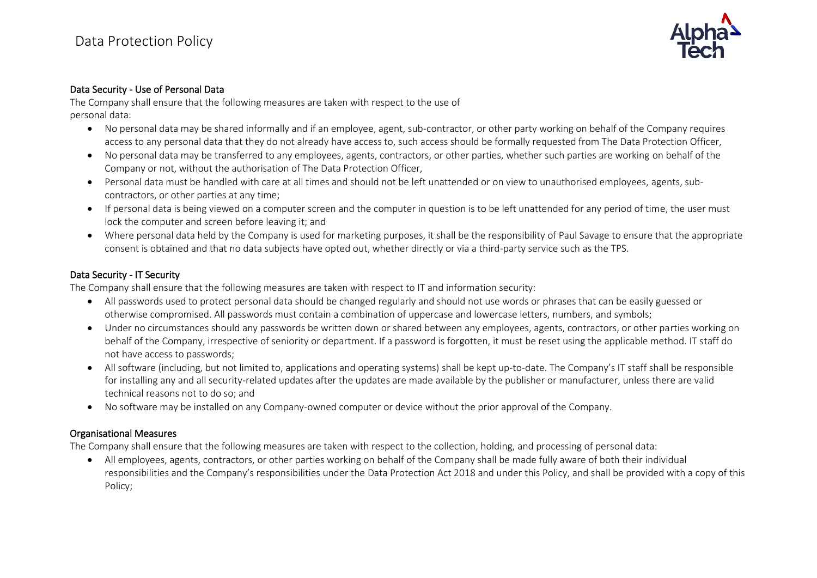

### Data Security - Use of Personal Data

The Company shall ensure that the following measures are taken with respect to the use of personal data:

- No personal data may be shared informally and if an employee, agent, sub-contractor, or other party working on behalf of the Company requires access to any personal data that they do not already have access to, such access should be formally requested from The Data Protection Officer,
- No personal data may be transferred to any employees, agents, contractors, or other parties, whether such parties are working on behalf of the Company or not, without the authorisation of The Data Protection Officer,
- Personal data must be handled with care at all times and should not be left unattended or on view to unauthorised employees, agents, subcontractors, or other parties at any time;
- If personal data is being viewed on a computer screen and the computer in question is to be left unattended for any period of time, the user must lock the computer and screen before leaving it; and
- Where personal data held by the Company is used for marketing purposes, it shall be the responsibility of Paul Savage to ensure that the appropriate consent is obtained and that no data subjects have opted out, whether directly or via a third-party service such as the TPS.

#### Data Security - IT Security

The Company shall ensure that the following measures are taken with respect to IT and information security:

- All passwords used to protect personal data should be changed regularly and should not use words or phrases that can be easily guessed or otherwise compromised. All passwords must contain a combination of uppercase and lowercase letters, numbers, and symbols;
- Under no circumstances should any passwords be written down or shared between any employees, agents, contractors, or other parties working on behalf of the Company, irrespective of seniority or department. If a password is forgotten, it must be reset using the applicable method. IT staff do not have access to passwords;
- All software (including, but not limited to, applications and operating systems) shall be kept up-to-date. The Company's IT staff shall be responsible for installing any and all security-related updates after the updates are made available by the publisher or manufacturer, unless there are valid technical reasons not to do so; and
- No software may be installed on any Company-owned computer or device without the prior approval of the Company.

#### Organisational Measures

The Company shall ensure that the following measures are taken with respect to the collection, holding, and processing of personal data:

• All employees, agents, contractors, or other parties working on behalf of the Company shall be made fully aware of both their individual responsibilities and the Company's responsibilities under the Data Protection Act 2018 and under this Policy, and shall be provided with a copy of this Policy;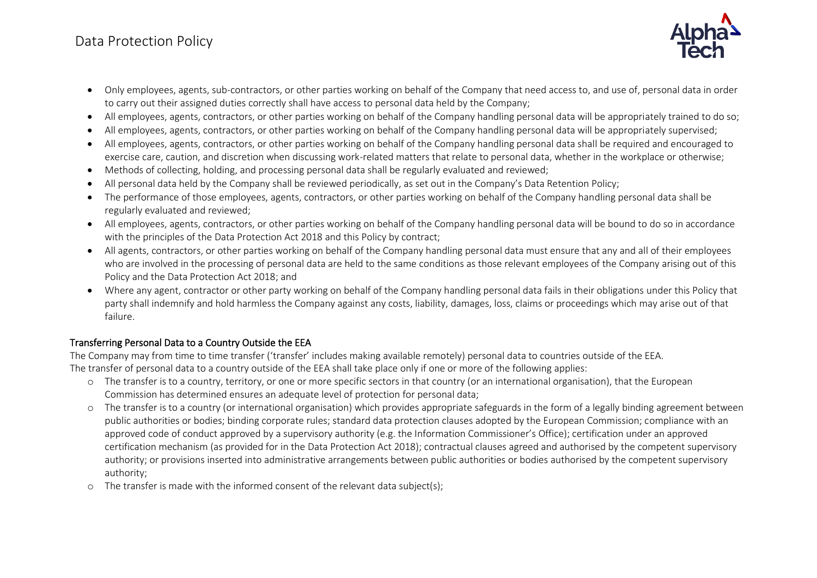

- Only employees, agents, sub-contractors, or other parties working on behalf of the Company that need access to, and use of, personal data in order to carry out their assigned duties correctly shall have access to personal data held by the Company;
- All employees, agents, contractors, or other parties working on behalf of the Company handling personal data will be appropriately trained to do so;
- All employees, agents, contractors, or other parties working on behalf of the Company handling personal data will be appropriately supervised;
- All employees, agents, contractors, or other parties working on behalf of the Company handling personal data shall be required and encouraged to exercise care, caution, and discretion when discussing work-related matters that relate to personal data, whether in the workplace or otherwise;
- Methods of collecting, holding, and processing personal data shall be regularly evaluated and reviewed;
- All personal data held by the Company shall be reviewed periodically, as set out in the Company's Data Retention Policy;
- The performance of those employees, agents, contractors, or other parties working on behalf of the Company handling personal data shall be regularly evaluated and reviewed;
- All employees, agents, contractors, or other parties working on behalf of the Company handling personal data will be bound to do so in accordance with the principles of the Data Protection Act 2018 and this Policy by contract;
- All agents, contractors, or other parties working on behalf of the Company handling personal data must ensure that any and all of their employees who are involved in the processing of personal data are held to the same conditions as those relevant employees of the Company arising out of this Policy and the Data Protection Act 2018; and
- Where any agent, contractor or other party working on behalf of the Company handling personal data fails in their obligations under this Policy that party shall indemnify and hold harmless the Company against any costs, liability, damages, loss, claims or proceedings which may arise out of that failure.

## Transferring Personal Data to a Country Outside the EEA

The Company may from time to time transfer ('transfer' includes making available remotely) personal data to countries outside of the EEA. The transfer of personal data to a country outside of the EEA shall take place only if one or more of the following applies:

- o The transfer is to a country, territory, or one or more specific sectors in that country (or an international organisation), that the European Commission has determined ensures an adequate level of protection for personal data;
- o The transfer is to a country (or international organisation) which provides appropriate safeguards in the form of a legally binding agreement between public authorities or bodies; binding corporate rules; standard data protection clauses adopted by the European Commission; compliance with an approved code of conduct approved by a supervisory authority (e.g. the Information Commissioner's Office); certification under an approved certification mechanism (as provided for in the Data Protection Act 2018); contractual clauses agreed and authorised by the competent supervisory authority; or provisions inserted into administrative arrangements between public authorities or bodies authorised by the competent supervisory authority;
- o The transfer is made with the informed consent of the relevant data subject(s);